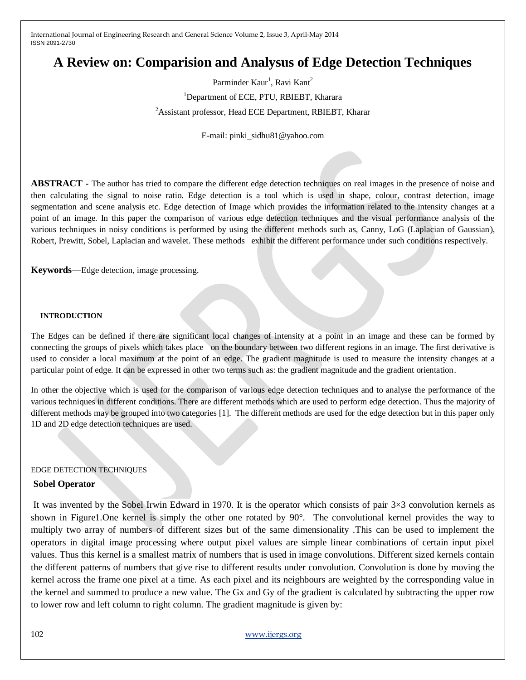# **A Review on: Comparision and Analysus of Edge Detection Techniques**

Parminder Kaur<sup>1</sup>, Ravi Kant<sup>2</sup> <sup>1</sup>Department of ECE, PTU, RBIEBT, Kharara <sup>2</sup>Assistant professor, Head ECE Department, RBIEBT, Kharar

E-mail: pinki\_sidhu81@yahoo.com

**ABSTRACT -** The author has tried to compare the different edge detection techniques on real images in the presence of noise and then calculating the signal to noise ratio. Edge detection is a tool which is used in shape, colour, contrast detection, image segmentation and scene analysis etc. Edge detection of Image which provides the information related to the intensity changes at a point of an image. In this paper the comparison of various edge detection techniques and the visual performance analysis of the various techniques in noisy conditions is performed by using the different methods such as, Canny, LoG (Laplacian of Gaussian), Robert, Prewitt, Sobel, Laplacian and wavelet. These methods exhibit the different performance under such conditions respectively*.*

**Keywords**—Edge detection, image processing.

#### **INTRODUCTION**

The Edges can be defined if there are significant local changes of intensity at a point in an image and these can be formed by connecting the groups of pixels which takes place on the boundary between two different regions in an image. The first derivative is used to consider a local maximum at the point of an edge. The gradient magnitude is used to measure the intensity changes at a particular point of edge. It can be expressed in other two terms such as: the gradient magnitude and the gradient orientation.

In other the objective which is used for the comparison of various edge detection techniques and to analyse the performance of the various techniques in different conditions. There are different methods which are used to perform edge detection. Thus the majority of different methods may be grouped into two categories [1]. The different methods are used for the edge detection but in this paper only 1D and 2D edge detection techniques are used.

#### EDGE DETECTION TECHNIQUES

#### **Sobel Operator**

It was invented by the Sobel Irwin Edward in 1970. It is the operator which consists of pair  $3\times3$  convolution kernels as shown in Figure1.One kernel is simply the other one rotated by 90°. The convolutional kernel provides the way to multiply two array of numbers of different sizes but of the same dimensionality .This can be used to implement the operators in digital image processing where output pixel values are simple linear combinations of certain input pixel values. Thus this kernel is a smallest matrix of numbers that is used in image convolutions. Different sized kernels contain the different patterns of numbers that give rise to different results under convolution. Convolution is done by moving the kernel across the frame one pixel at a time. As each pixel and its neighbours are weighted by the corresponding value in the kernel and summed to produce a new value. The Gx and Gy of the gradient is calculated by subtracting the upper row to lower row and left column to right column. The gradient magnitude is given by: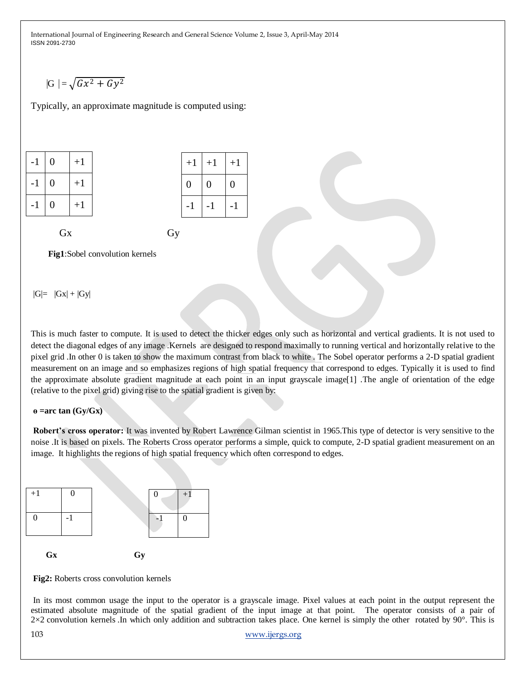$$
|\mathrm{G}| = \sqrt{Gx^2 + Gy^2}
$$

Typically, an approximate magnitude is computed using:

| - 1 | 0 | $+1$ |
|-----|---|------|
| - 1 | 0 | $+1$ |
|     | 0 | $+1$ |

| $+1$ | $+1$ | $+1$ |
|------|------|------|
| 0    | 0    | 0    |
| - 1  | – I  | -1   |

## Gx Gy

**Fig1**:Sobel convolution kernels

 $|G|= |Gx| + |Gy|$ 

This is much faster to compute. It is used to detect the thicker edges only such as horizontal and vertical gradients. It is not used to detect the diagonal edges of any image .Kernels are designed to respond maximally to running vertical and horizontally relative to the pixel grid .In other 0 is taken to show the maximum contrast from black to white . The Sobel operator performs a 2-D spatial gradient measurement on an image and so emphasizes regions of high spatial frequency that correspond to edges. Typically it is used to find the approximate absolute gradient magnitude at each point in an input grayscale image[1] .The angle of orientation of the edge (relative to the pixel grid) giving rise to the spatial gradient is given by:

#### **ɵ =arc tan (Gy/Gx)**

**Robert's cross operator:** It was invented by Robert Lawrence Gilman scientist in 1965.This type of detector is very sensitive to the noise .It is based on pixels. The Roberts Cross operator performs a simple, quick to compute, 2-D spatial gradient measurement on an image. It highlights the regions of high spatial frequency which often correspond to edges.

| $+1$      |    | $+1$ |
|-----------|----|------|
|           |    | 0    |
| <b>Gx</b> | Gy |      |

**Fig2:** Roberts cross convolution kernels

In its most common usage the input to the operator is a grayscale image. Pixel values at each point in the output represent the estimated absolute magnitude of the spatial gradient of the input image at that point. The operator consists of a pair of 2×2 convolution kernels .In which only addition and subtraction takes place. One kernel is simply the other rotated by 90°. This is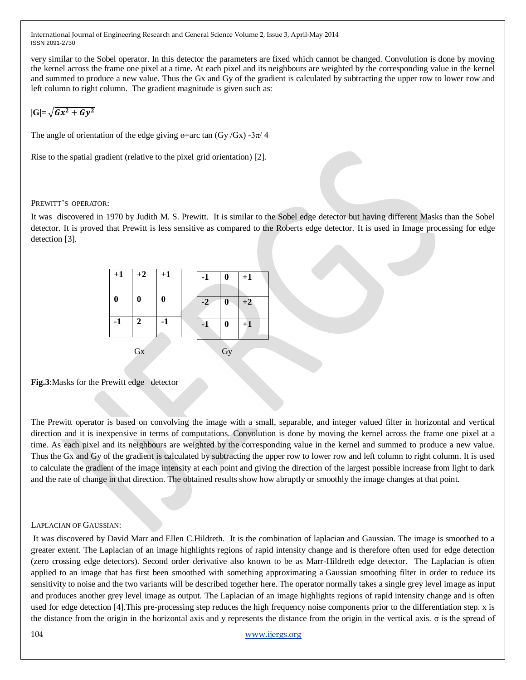very similar to the Sobel operator. In this detector the parameters are fixed which cannot be changed. Convolution is done by moving the kernel across the frame one pixel at a time. At each pixel and its neighbours are weighted by the corresponding value in the kernel and summed to produce a new value. Thus the Gx and Gy of the gradient is calculated by subtracting the upper row to lower row and left column to right column. The gradient magnitude is given such as:

# $|\mathrm{G}|$ =  $\sqrt{Gx^2 + Gy^2}$

The angle of orientation of the edge giving  $\theta$ =arc tan (Gy/Gx) -3 $\pi$ /4

Rise to the spatial gradient (relative to the pixel grid orientation) [2].

PREWITT'S OPERATOR:

It was discovered in 1970 by Judith M. S. Prewitt. It is similar to the Sobel edge detector but having different Masks than the Sobel detector. It is proved that Prewitt is less sensitive as compared to the Roberts edge detector. It is used in Image processing for edge detection [3].

|                  | $+1$ $+2$ $+1$   |                  | $-1$ | $\bf{0}$ | $+1$    |
|------------------|------------------|------------------|------|----------|---------|
| $\boldsymbol{0}$ | $\boldsymbol{0}$ | $\boldsymbol{0}$ | $-2$ | 0        | $^{+2}$ |
| $-1$             | 2                | $-1$             | -1   | $\bf{0}$ | $+1$    |
|                  | Gx               |                  |      | Gy       |         |

**Fig.3**:Masks for the Prewitt edge detector

The Prewitt operator is based on convolving the image with a small, separable, and integer valued filter in horizontal and vertical direction and it is inexpensive in terms of computations. Convolution is done by moving the kernel across the frame one pixel at a time. As each pixel and its neighbours are weighted by the corresponding value in the kernel and summed to produce a new value. Thus the Gx and Gy of the gradient is calculated by subtracting the upper row to lower row and left column to right column. It is used to calculate the gradient of the image intensity at each point and giving the direction of the largest possible increase from light to dark and the rate of change in that direction. The obtained results show how abruptly or smoothly the image changes at that point.

#### LAPLACIAN OF GAUSSIAN:

It was discovered by David Marr and Ellen C.Hildreth. It is the combination of laplacian and Gaussian. The image is smoothed to a greater extent. The Laplacian of an image highlights regions of rapid intensity change and is therefore often used for edge detection (zero crossing edge detectors). Second order derivative also known to be as Marr-Hildreth edge detector. The Laplacian is often applied to an image that has first been smoothed with something approximating a Gaussian smoothing filter in order to reduce its sensitivity to noise and the two variants will be described together here. The operator normally takes a single grey level image as input and produces another grey level image as output. The Laplacian of an image highlights regions of rapid intensity change and is often used for edge detection [4].This pre-processing step reduces the high frequency noise components prior to the differentiation step. x is the distance from the origin in the horizontal axis and y represents the distance from the origin in the vertical axis. σ is the spread of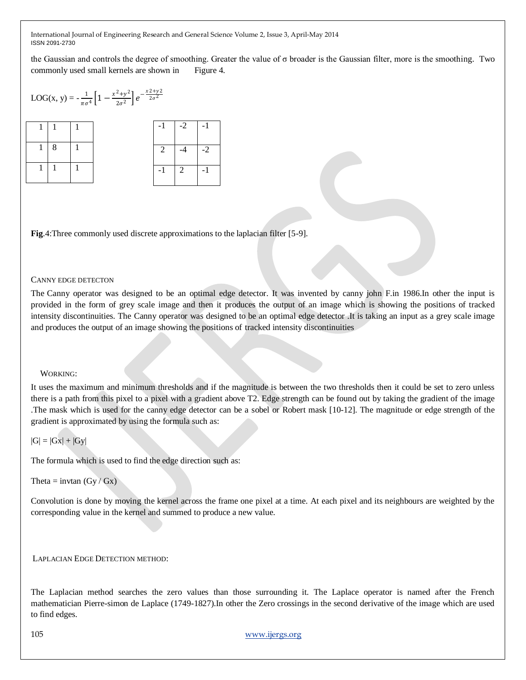the Gaussian and controls the degree of smoothing. Greater the value of σ broader is the Gaussian filter, more is the smoothing. Two commonly used small kernels are shown in Figure 4.

$$
LOG(x, y) = -\frac{1}{\pi \sigma^4} \left[ 1 - \frac{x^2 + y^2}{2\sigma^2} \right] e^{-\frac{x^2 + y^2}{2\sigma^2}}
$$

| $\sim$ 1.1 |  |   | $-1$   $-2$   $-1$ |  |
|------------|--|---|--------------------|--|
|            |  | 2 | $-4$               |  |
|            |  |   | $-1$   2           |  |

**Fig**.4:Three commonly used discrete approximations to the laplacian filter [5-9].

#### CANNY EDGE DETECTON

The Canny operator was designed to be an optimal edge detector. It was invented by canny john F.in 1986.In other the input is provided in the form of grey scale image and then it produces the output of an image which is showing the positions of tracked intensity discontinuities. The Canny operator was designed to be an optimal edge detector .It is taking an input as a grey scale image and produces the output of an image showing the positions of tracked intensity discontinuities

## WORKING:

It uses the maximum and minimum thresholds and if the magnitude is between the two thresholds then it could be set to zero unless there is a path from this pixel to a pixel with a gradient above T2. Edge strength can be found out by taking the gradient of the image .The mask which is used for the canny edge detector can be a sobel or Robert mask [10-12]. The magnitude or edge strength of the gradient is approximated by using the formula such as:

## $|G| = |Gx| + |Gy|$

The formula which is used to find the edge direction such as:

Theta = invtan  $(Gy / Gx)$ 

Convolution is done by moving the kernel across the frame one pixel at a time. At each pixel and its neighbours are weighted by the corresponding value in the kernel and summed to produce a new value.

LAPLACIAN EDGE DETECTION METHOD:

The Laplacian method searches the zero values than those surrounding it. The Laplace operator is named after the French mathematician Pierre-simon de Laplace (1749-1827).In other the Zero crossings in the second derivative of the image which are used to find edges.

105 [www.ijergs.org](http://www.ijergs.org/)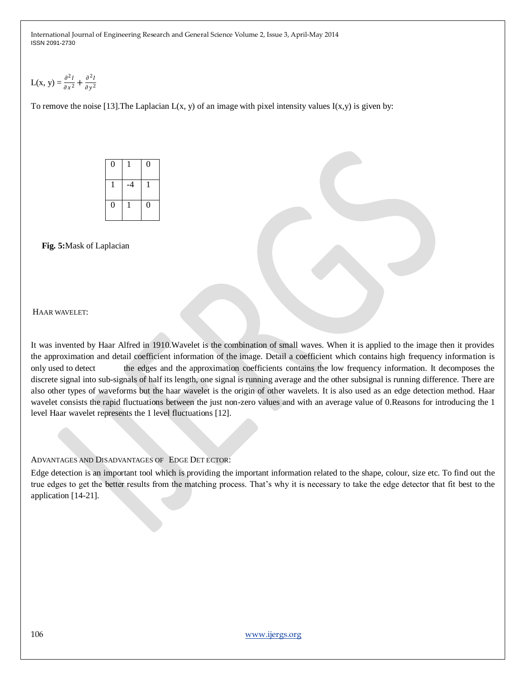$$
L(x, y) = \frac{\partial^2 I}{\partial x^2} + \frac{\partial^2 I}{\partial y^2}
$$

To remove the noise [13]. The Laplacian  $L(x, y)$  of an image with pixel intensity values  $I(x, y)$  is given by:

| $\boldsymbol{0}$ |      | $\boldsymbol{0}$ |
|------------------|------|------------------|
|                  | $-4$ |                  |
| $\boldsymbol{0}$ |      | $\boldsymbol{0}$ |

 **Fig. 5:**Mask of Laplacian

HAAR WAVELET:

It was invented by Haar Alfred in 1910.Wavelet is the combination of small waves. When it is applied to the image then it provides the approximation and detail coefficient information of the image. Detail a coefficient which contains high frequency information is only used to detect the edges and the approximation coefficients contains the low frequency information. It decomposes the discrete signal into sub-signals of half its length, one signal is running average and the other subsignal is running difference. There are also other types of waveforms but the haar wavelet is the origin of other wavelets. It is also used as an edge detection method. Haar wavelet consists the rapid fluctuations between the just non-zero values and with an average value of 0.Reasons for introducing the 1 level Haar wavelet represents the 1 level fluctuations [12].

ADVANTAGES AND DISADVANTAGES OF EDGE DET ECTOR:

Edge detection is an important tool which is providing the important information related to the shape, colour, size etc. To find out the true edges to get the better results from the matching process. That's why it is necessary to take the edge detector that fit best to the application [14-21].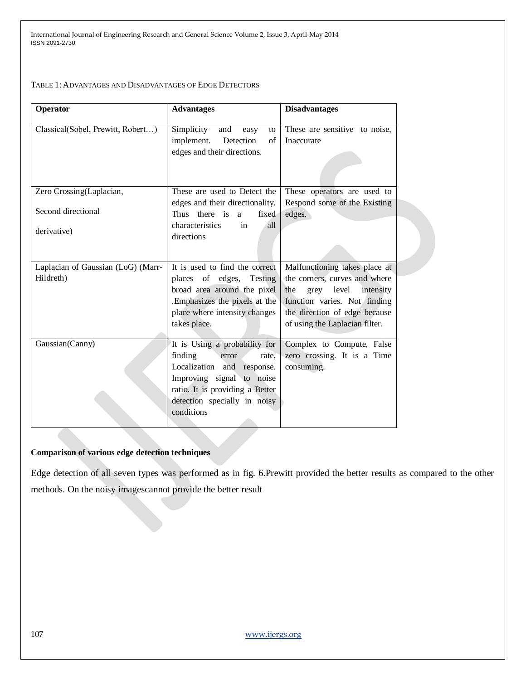TABLE 1: ADVANTAGES AND DISADVANTAGES OF EDGE DETECTORS

| <b>Operator</b>                    | <b>Advantages</b>                                                                                       | <b>Disadvantages</b>                                          |
|------------------------------------|---------------------------------------------------------------------------------------------------------|---------------------------------------------------------------|
| Classical(Sobel, Prewitt, Robert)  | Simplicity<br>and<br>easy<br>to<br>implement.<br>Detection<br>$\sigma$ f<br>edges and their directions. | These are sensitive to noise,<br>Inaccurate                   |
| Zero Crossing(Laplacian,           | These are used to Detect the                                                                            | These operators are used to                                   |
| Second directional                 | edges and their directionality.<br>Thus there is a<br>fixed<br>characteristics<br>in<br>all             | Respond some of the Existing<br>edges.                        |
| derivative)                        | directions                                                                                              |                                                               |
| Laplacian of Gaussian (LoG) (Marr- | It is used to find the correct                                                                          | Malfunctioning takes place at                                 |
| Hildreth)                          | places of edges, Testing<br>broad area around the pixel                                                 | the corners, curves and where<br>grey level intensity<br>the  |
|                                    | Emphasizes the pixels at the<br>place where intensity changes                                           | function varies. Not finding<br>the direction of edge because |
|                                    | takes place.                                                                                            | of using the Laplacian filter.                                |
| Gaussian(Canny)                    | It is Using a probability for                                                                           | Complex to Compute, False                                     |
|                                    | finding<br>error<br>rate.                                                                               | zero crossing. It is a Time                                   |
|                                    | Localization and response.                                                                              | consuming.                                                    |
|                                    | Improving signal to noise                                                                               |                                                               |
|                                    | ratio. It is providing a Better                                                                         |                                                               |
|                                    | detection specially in noisy<br>conditions                                                              |                                                               |
|                                    |                                                                                                         |                                                               |

### **Comparison of various edge detection techniques**

Edge detection of all seven types was performed as in fig. 6.Prewitt provided the better results as compared to the other methods. On the noisy imagescannot provide the better result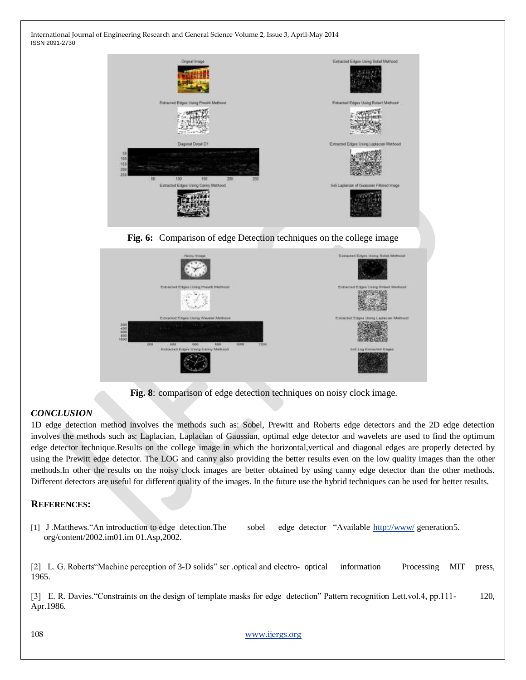

**Fig. 6:** Comparison of edge Detection techniques on the college image



 **Fig. 8**: comparison of edge detection techniques on noisy clock image.

## *CONCLUSION*

1D edge detection method involves the methods such as: Sobel, Prewitt and Roberts edge detectors and the 2D edge detection involves the methods such as: Laplacian, Laplacian of Gaussian, optimal edge detector and wavelets are used to find the optimum edge detector technique.Results on the college image in which the horizontal,vertical and diagonal edges are properly detected by using the Prewitt edge detector. The LOG and canny also providing the better results even on the low quality images than the other methods.In other the results on the noisy clock images are better obtained by using canny edge detector than the other methods. Different detectors are useful for different quality of the images. In the future use the hybrid techniques can be used for better results.

## **REFERENCES:**

[1] J .Matthews."An introduction to edge detection.The sobel edge detector "Available <http://www/> generation5. org/content/2002.im01.im 01.Asp,2002.

[2] L. G. Roberts"Machine perception of 3-D solids" ser .optical and electro- optical information Processing MIT press, 1965.

[3] E. R. Davies."Constraints on the design of template masks for edge detection" Pattern recognition Lett,vol.4, pp.111- 120, Apr.1986.

108 [www.ijergs.org](http://www.ijergs.org/)